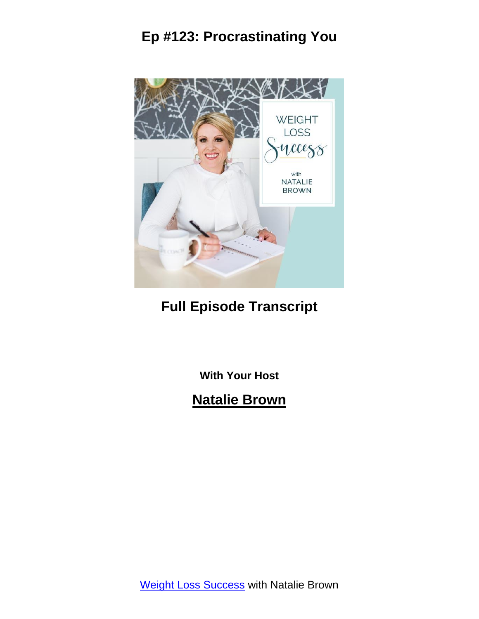

### **Full Episode Transcript**

**With Your Host**

### **Natalie Brown**

Weight Loss [Success](https://itbeginswithathought.com/podcast) with Natalie Brown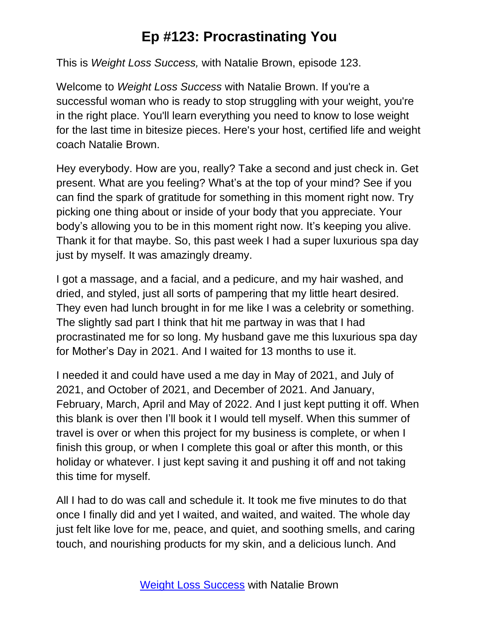This is *Weight Loss Success,* with Natalie Brown, episode 123.

Welcome to *Weight Loss Success* with Natalie Brown. If you're a successful woman who is ready to stop struggling with your weight, you're in the right place. You'll learn everything you need to know to lose weight for the last time in bitesize pieces. Here's your host, certified life and weight coach Natalie Brown.

Hey everybody. How are you, really? Take a second and just check in. Get present. What are you feeling? What's at the top of your mind? See if you can find the spark of gratitude for something in this moment right now. Try picking one thing about or inside of your body that you appreciate. Your body's allowing you to be in this moment right now. It's keeping you alive. Thank it for that maybe. So, this past week I had a super luxurious spa day just by myself. It was amazingly dreamy.

I got a massage, and a facial, and a pedicure, and my hair washed, and dried, and styled, just all sorts of pampering that my little heart desired. They even had lunch brought in for me like I was a celebrity or something. The slightly sad part I think that hit me partway in was that I had procrastinated me for so long. My husband gave me this luxurious spa day for Mother's Day in 2021. And I waited for 13 months to use it.

I needed it and could have used a me day in May of 2021, and July of 2021, and October of 2021, and December of 2021. And January, February, March, April and May of 2022. And I just kept putting it off. When this blank is over then I'll book it I would tell myself. When this summer of travel is over or when this project for my business is complete, or when I finish this group, or when I complete this goal or after this month, or this holiday or whatever. I just kept saving it and pushing it off and not taking this time for myself.

All I had to do was call and schedule it. It took me five minutes to do that once I finally did and yet I waited, and waited, and waited. The whole day just felt like love for me, peace, and quiet, and soothing smells, and caring touch, and nourishing products for my skin, and a delicious lunch. And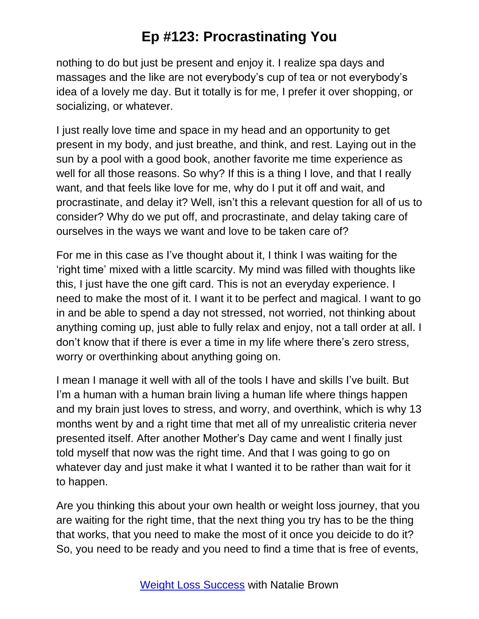nothing to do but just be present and enjoy it. I realize spa days and massages and the like are not everybody's cup of tea or not everybody's idea of a lovely me day. But it totally is for me, I prefer it over shopping, or socializing, or whatever.

I just really love time and space in my head and an opportunity to get present in my body, and just breathe, and think, and rest. Laying out in the sun by a pool with a good book, another favorite me time experience as well for all those reasons. So why? If this is a thing I love, and that I really want, and that feels like love for me, why do I put it off and wait, and procrastinate, and delay it? Well, isn't this a relevant question for all of us to consider? Why do we put off, and procrastinate, and delay taking care of ourselves in the ways we want and love to be taken care of?

For me in this case as I've thought about it, I think I was waiting for the 'right time' mixed with a little scarcity. My mind was filled with thoughts like this, I just have the one gift card. This is not an everyday experience. I need to make the most of it. I want it to be perfect and magical. I want to go in and be able to spend a day not stressed, not worried, not thinking about anything coming up, just able to fully relax and enjoy, not a tall order at all. I don't know that if there is ever a time in my life where there's zero stress, worry or overthinking about anything going on.

I mean I manage it well with all of the tools I have and skills I've built. But I'm a human with a human brain living a human life where things happen and my brain just loves to stress, and worry, and overthink, which is why 13 months went by and a right time that met all of my unrealistic criteria never presented itself. After another Mother's Day came and went I finally just told myself that now was the right time. And that I was going to go on whatever day and just make it what I wanted it to be rather than wait for it to happen.

Are you thinking this about your own health or weight loss journey, that you are waiting for the right time, that the next thing you try has to be the thing that works, that you need to make the most of it once you deicide to do it? So, you need to be ready and you need to find a time that is free of events,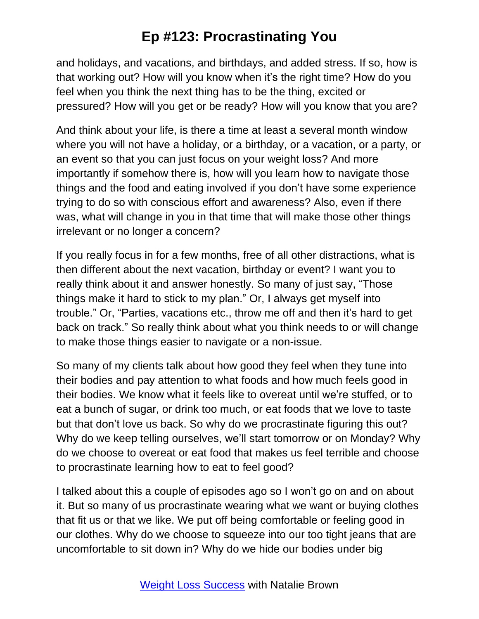and holidays, and vacations, and birthdays, and added stress. If so, how is that working out? How will you know when it's the right time? How do you feel when you think the next thing has to be the thing, excited or pressured? How will you get or be ready? How will you know that you are?

And think about your life, is there a time at least a several month window where you will not have a holiday, or a birthday, or a vacation, or a party, or an event so that you can just focus on your weight loss? And more importantly if somehow there is, how will you learn how to navigate those things and the food and eating involved if you don't have some experience trying to do so with conscious effort and awareness? Also, even if there was, what will change in you in that time that will make those other things irrelevant or no longer a concern?

If you really focus in for a few months, free of all other distractions, what is then different about the next vacation, birthday or event? I want you to really think about it and answer honestly. So many of just say, "Those things make it hard to stick to my plan." Or, I always get myself into trouble." Or, "Parties, vacations etc., throw me off and then it's hard to get back on track." So really think about what you think needs to or will change to make those things easier to navigate or a non-issue.

So many of my clients talk about how good they feel when they tune into their bodies and pay attention to what foods and how much feels good in their bodies. We know what it feels like to overeat until we're stuffed, or to eat a bunch of sugar, or drink too much, or eat foods that we love to taste but that don't love us back. So why do we procrastinate figuring this out? Why do we keep telling ourselves, we'll start tomorrow or on Monday? Why do we choose to overeat or eat food that makes us feel terrible and choose to procrastinate learning how to eat to feel good?

I talked about this a couple of episodes ago so I won't go on and on about it. But so many of us procrastinate wearing what we want or buying clothes that fit us or that we like. We put off being comfortable or feeling good in our clothes. Why do we choose to squeeze into our too tight jeans that are uncomfortable to sit down in? Why do we hide our bodies under big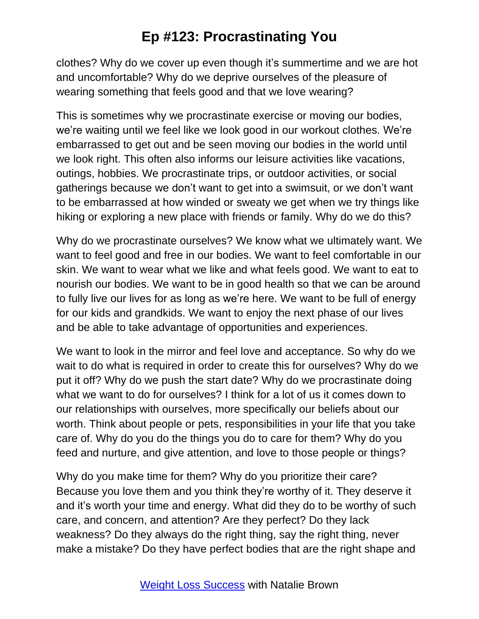clothes? Why do we cover up even though it's summertime and we are hot and uncomfortable? Why do we deprive ourselves of the pleasure of wearing something that feels good and that we love wearing?

This is sometimes why we procrastinate exercise or moving our bodies, we're waiting until we feel like we look good in our workout clothes. We're embarrassed to get out and be seen moving our bodies in the world until we look right. This often also informs our leisure activities like vacations, outings, hobbies. We procrastinate trips, or outdoor activities, or social gatherings because we don't want to get into a swimsuit, or we don't want to be embarrassed at how winded or sweaty we get when we try things like hiking or exploring a new place with friends or family. Why do we do this?

Why do we procrastinate ourselves? We know what we ultimately want. We want to feel good and free in our bodies. We want to feel comfortable in our skin. We want to wear what we like and what feels good. We want to eat to nourish our bodies. We want to be in good health so that we can be around to fully live our lives for as long as we're here. We want to be full of energy for our kids and grandkids. We want to enjoy the next phase of our lives and be able to take advantage of opportunities and experiences.

We want to look in the mirror and feel love and acceptance. So why do we wait to do what is required in order to create this for ourselves? Why do we put it off? Why do we push the start date? Why do we procrastinate doing what we want to do for ourselves? I think for a lot of us it comes down to our relationships with ourselves, more specifically our beliefs about our worth. Think about people or pets, responsibilities in your life that you take care of. Why do you do the things you do to care for them? Why do you feed and nurture, and give attention, and love to those people or things?

Why do you make time for them? Why do you prioritize their care? Because you love them and you think they're worthy of it. They deserve it and it's worth your time and energy. What did they do to be worthy of such care, and concern, and attention? Are they perfect? Do they lack weakness? Do they always do the right thing, say the right thing, never make a mistake? Do they have perfect bodies that are the right shape and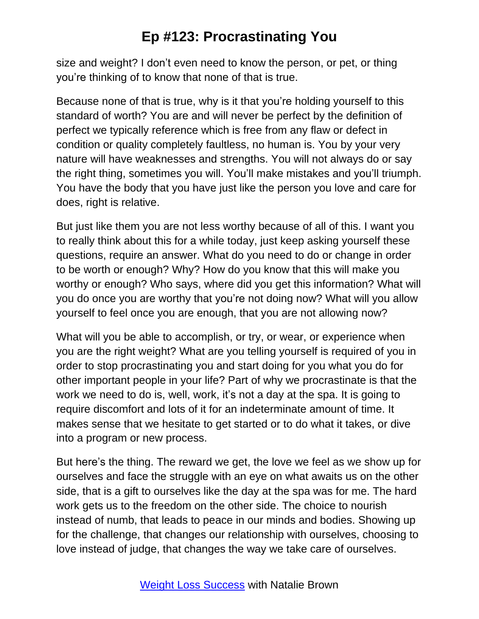size and weight? I don't even need to know the person, or pet, or thing you're thinking of to know that none of that is true.

Because none of that is true, why is it that you're holding yourself to this standard of worth? You are and will never be perfect by the definition of perfect we typically reference which is free from any flaw or defect in condition or quality completely faultless, no human is. You by your very nature will have weaknesses and strengths. You will not always do or say the right thing, sometimes you will. You'll make mistakes and you'll triumph. You have the body that you have just like the person you love and care for does, right is relative.

But just like them you are not less worthy because of all of this. I want you to really think about this for a while today, just keep asking yourself these questions, require an answer. What do you need to do or change in order to be worth or enough? Why? How do you know that this will make you worthy or enough? Who says, where did you get this information? What will you do once you are worthy that you're not doing now? What will you allow yourself to feel once you are enough, that you are not allowing now?

What will you be able to accomplish, or try, or wear, or experience when you are the right weight? What are you telling yourself is required of you in order to stop procrastinating you and start doing for you what you do for other important people in your life? Part of why we procrastinate is that the work we need to do is, well, work, it's not a day at the spa. It is going to require discomfort and lots of it for an indeterminate amount of time. It makes sense that we hesitate to get started or to do what it takes, or dive into a program or new process.

But here's the thing. The reward we get, the love we feel as we show up for ourselves and face the struggle with an eye on what awaits us on the other side, that is a gift to ourselves like the day at the spa was for me. The hard work gets us to the freedom on the other side. The choice to nourish instead of numb, that leads to peace in our minds and bodies. Showing up for the challenge, that changes our relationship with ourselves, choosing to love instead of judge, that changes the way we take care of ourselves.